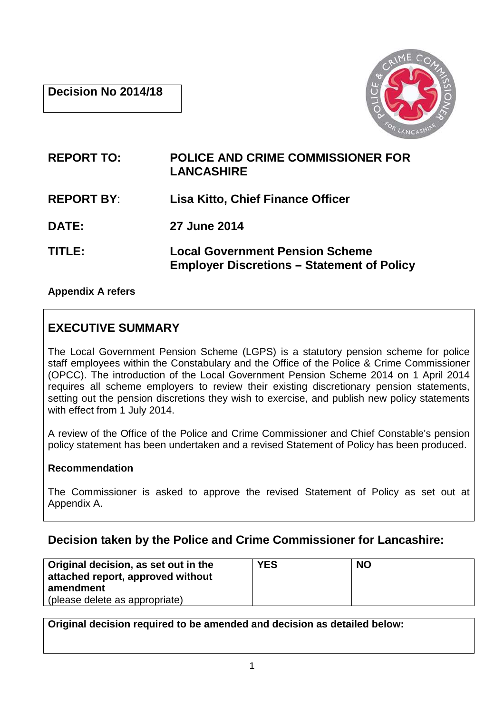

| <b>REPORT TO:</b> | <b>POLICE AND CRIME COMMISSIONER FOR</b><br><b>LANCASHIRE</b>                               |
|-------------------|---------------------------------------------------------------------------------------------|
| <b>REPORT BY:</b> | <b>Lisa Kitto, Chief Finance Officer</b>                                                    |
| <b>DATE:</b>      | 27 June 2014                                                                                |
| TITLE:            | <b>Local Government Pension Scheme</b><br><b>Employer Discretions – Statement of Policy</b> |

# **Appendix A refers**

# **EXECUTIVE SUMMARY**

The Local Government Pension Scheme (LGPS) is a statutory pension scheme for police staff employees within the Constabulary and the Office of the Police & Crime Commissioner (OPCC). The introduction of the Local Government Pension Scheme 2014 on 1 April 2014 requires all scheme employers to review their existing discretionary pension statements, setting out the pension discretions they wish to exercise, and publish new policy statements with effect from 1 July 2014.

A review of the Office of the Police and Crime Commissioner and Chief Constable's pension policy statement has been undertaken and a revised Statement of Policy has been produced.

# **Recommendation**

The Commissioner is asked to approve the revised Statement of Policy as set out at Appendix A.

# **Decision taken by the Police and Crime Commissioner for Lancashire:**

| Original decision, as set out in the<br>attached report, approved without | <b>YES</b> | <b>NO</b> |
|---------------------------------------------------------------------------|------------|-----------|
| amendment                                                                 |            |           |
| (please delete as appropriate)                                            |            |           |

**Original decision required to be amended and decision as detailed below:**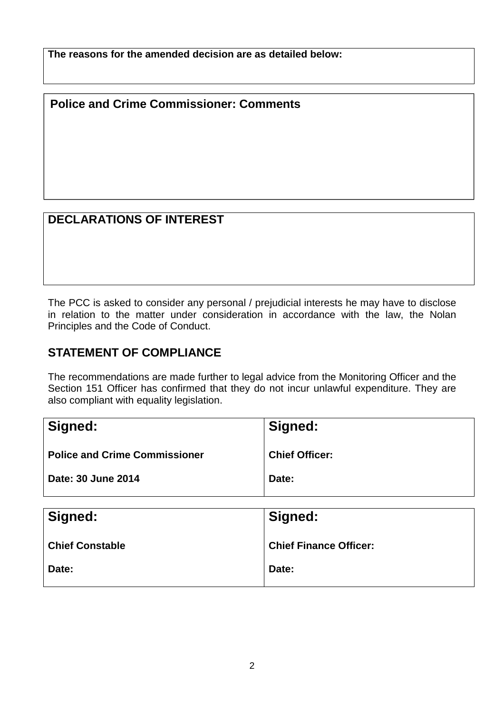**The reasons for the amended decision are as detailed below:**

**Police and Crime Commissioner: Comments** 

# **DECLARATIONS OF INTEREST**

The PCC is asked to consider any personal / prejudicial interests he may have to disclose in relation to the matter under consideration in accordance with the law, the Nolan Principles and the Code of Conduct.

# **STATEMENT OF COMPLIANCE**

The recommendations are made further to legal advice from the Monitoring Officer and the Section 151 Officer has confirmed that they do not incur unlawful expenditure. They are also compliant with equality legislation.

| Signed:                              | Signed:               |
|--------------------------------------|-----------------------|
| <b>Police and Crime Commissioner</b> | <b>Chief Officer:</b> |
| Date: 30 June 2014                   | Date:                 |

| Signed:                | Signed:                       |
|------------------------|-------------------------------|
| <b>Chief Constable</b> | <b>Chief Finance Officer:</b> |
| Date:                  | Date:                         |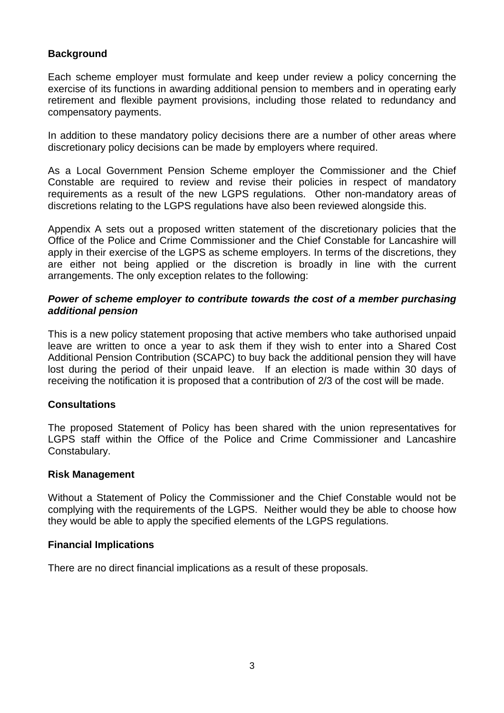# **Background**

Each scheme employer must formulate and keep under review a policy concerning the exercise of its functions in awarding additional pension to members and in operating early retirement and flexible payment provisions, including those related to redundancy and compensatory payments.

In addition to these mandatory policy decisions there are a number of other areas where discretionary policy decisions can be made by employers where required.

As a Local Government Pension Scheme employer the Commissioner and the Chief Constable are required to review and revise their policies in respect of mandatory requirements as a result of the new LGPS regulations. Other non-mandatory areas of discretions relating to the LGPS regulations have also been reviewed alongside this.

Appendix A sets out a proposed written statement of the discretionary policies that the Office of the Police and Crime Commissioner and the Chief Constable for Lancashire will apply in their exercise of the LGPS as scheme employers. In terms of the discretions, they are either not being applied or the discretion is broadly in line with the current arrangements. The only exception relates to the following:

# **Power of scheme employer to contribute towards the cost of a member purchasing additional pension**

This is a new policy statement proposing that active members who take authorised unpaid leave are written to once a year to ask them if they wish to enter into a Shared Cost Additional Pension Contribution (SCAPC) to buy back the additional pension they will have lost during the period of their unpaid leave. If an election is made within 30 days of receiving the notification it is proposed that a contribution of 2/3 of the cost will be made.

# **Consultations**

The proposed Statement of Policy has been shared with the union representatives for LGPS staff within the Office of the Police and Crime Commissioner and Lancashire Constabulary.

# **Risk Management**

Without a Statement of Policy the Commissioner and the Chief Constable would not be complying with the requirements of the LGPS. Neither would they be able to choose how they would be able to apply the specified elements of the LGPS regulations.

# **Financial Implications**

There are no direct financial implications as a result of these proposals.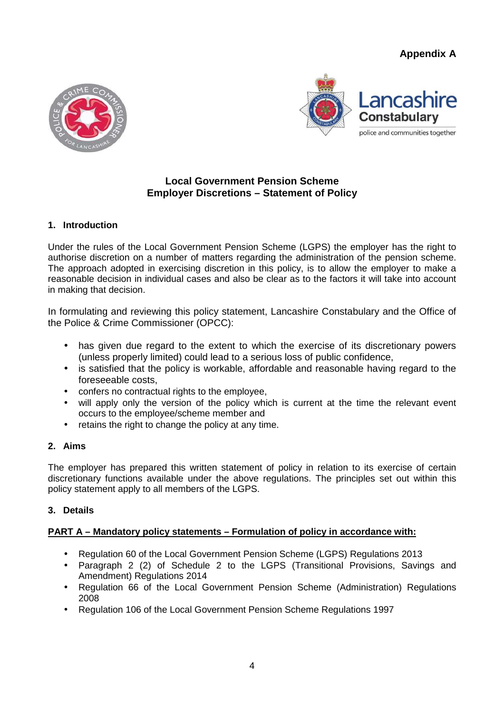**Appendix A** 





# **Local Government Pension Scheme Employer Discretions – Statement of Policy**

# **1. Introduction**

Under the rules of the Local Government Pension Scheme (LGPS) the employer has the right to authorise discretion on a number of matters regarding the administration of the pension scheme. The approach adopted in exercising discretion in this policy, is to allow the employer to make a reasonable decision in individual cases and also be clear as to the factors it will take into account in making that decision.

In formulating and reviewing this policy statement, Lancashire Constabulary and the Office of the Police & Crime Commissioner (OPCC):

- has given due regard to the extent to which the exercise of its discretionary powers (unless properly limited) could lead to a serious loss of public confidence,
- is satisfied that the policy is workable, affordable and reasonable having regard to the foreseeable costs,
- confers no contractual rights to the employee,
- will apply only the version of the policy which is current at the time the relevant event occurs to the employee/scheme member and
- retains the right to change the policy at any time.

# **2. Aims**

The employer has prepared this written statement of policy in relation to its exercise of certain discretionary functions available under the above regulations. The principles set out within this policy statement apply to all members of the LGPS.

# **3. Details**

# **PART A – Mandatory policy statements – Formulation of policy in accordance with:**

- Regulation 60 of the Local Government Pension Scheme (LGPS) Regulations 2013
- Paragraph 2 (2) of Schedule 2 to the LGPS (Transitional Provisions, Savings and Amendment) Regulations 2014
- Regulation 66 of the Local Government Pension Scheme (Administration) Regulations 2008
- Regulation 106 of the Local Government Pension Scheme Regulations 1997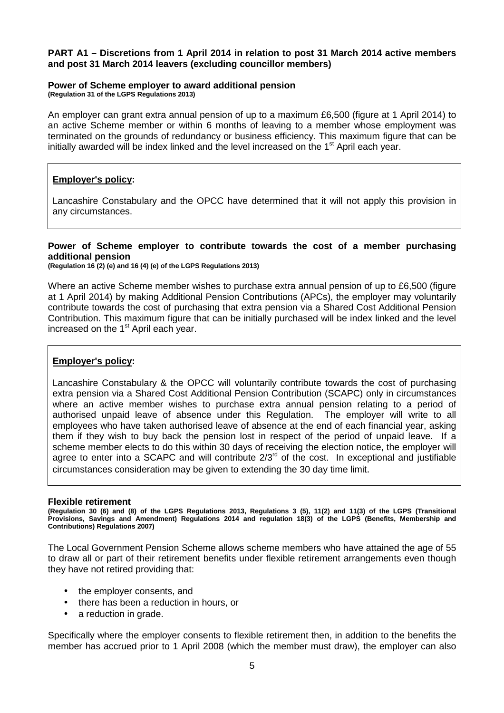#### **PART A1 – Discretions from 1 April 2014 in relation to post 31 March 2014 active members and post 31 March 2014 leavers (excluding councillor members)**

#### **Power of Scheme employer to award additional pension**

**(Regulation 31 of the LGPS Regulations 2013)** 

An employer can grant extra annual pension of up to a maximum £6,500 (figure at 1 April 2014) to an active Scheme member or within 6 months of leaving to a member whose employment was terminated on the grounds of redundancy or business efficiency. This maximum figure that can be initially awarded will be index linked and the level increased on the  $1<sup>st</sup>$  April each year.

#### **Employer's policy:**

Lancashire Constabulary and the OPCC have determined that it will not apply this provision in any circumstances.

#### **Power of Scheme employer to contribute towards the cost of a member purchasing additional pension**

**(Regulation 16 (2) (e) and 16 (4) (e) of the LGPS Regulations 2013)** 

Where an active Scheme member wishes to purchase extra annual pension of up to £6,500 (figure at 1 April 2014) by making Additional Pension Contributions (APCs), the employer may voluntarily contribute towards the cost of purchasing that extra pension via a Shared Cost Additional Pension Contribution. This maximum figure that can be initially purchased will be index linked and the level increased on the  $1<sup>st</sup>$  April each year.

#### **Employer's policy:**

Lancashire Constabulary & the OPCC will voluntarily contribute towards the cost of purchasing extra pension via a Shared Cost Additional Pension Contribution (SCAPC) only in circumstances where an active member wishes to purchase extra annual pension relating to a period of authorised unpaid leave of absence under this Regulation. The employer will write to all employees who have taken authorised leave of absence at the end of each financial year, asking them if they wish to buy back the pension lost in respect of the period of unpaid leave. If a scheme member elects to do this within 30 days of receiving the election notice, the employer will agree to enter into a SCAPC and will contribute 2/3<sup>rd</sup> of the cost. In exceptional and justifiable circumstances consideration may be given to extending the 30 day time limit.

#### **Flexible retirement**

**(Regulation 30 (6) and (8) of the LGPS Regulations 2013, Regulations 3 (5), 11(2) and 11(3) of the LGPS (Transitional Provisions, Savings and Amendment) Regulations 2014 and regulation 18(3) of the LGPS (Benefits, Membership and Contributions) Regulations 2007)** 

The Local Government Pension Scheme allows scheme members who have attained the age of 55 to draw all or part of their retirement benefits under flexible retirement arrangements even though they have not retired providing that:

- the employer consents, and
- there has been a reduction in hours, or
- a reduction in grade.

Specifically where the employer consents to flexible retirement then, in addition to the benefits the member has accrued prior to 1 April 2008 (which the member must draw), the employer can also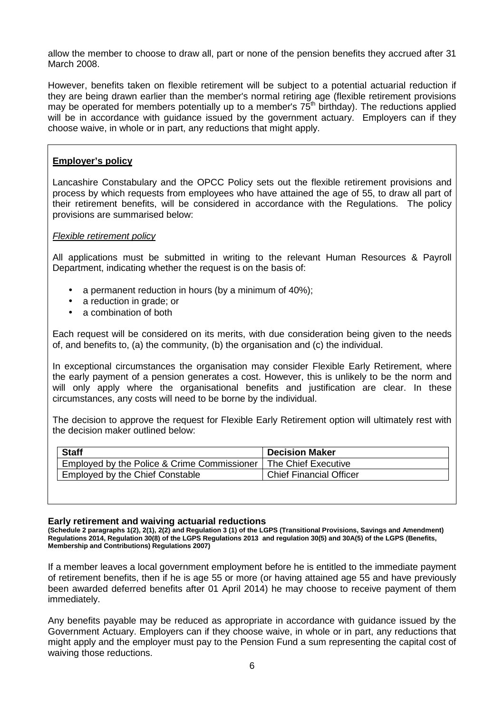allow the member to choose to draw all, part or none of the pension benefits they accrued after 31 March 2008.

However, benefits taken on flexible retirement will be subject to a potential actuarial reduction if they are being drawn earlier than the member's normal retiring age (flexible retirement provisions may be operated for members potentially up to a member's  $75<sup>th</sup>$  birthday). The reductions applied will be in accordance with quidance issued by the government actuary. Employers can if they choose waive, in whole or in part, any reductions that might apply.

### **Employer's policy**

Lancashire Constabulary and the OPCC Policy sets out the flexible retirement provisions and process by which requests from employees who have attained the age of 55, to draw all part of their retirement benefits, will be considered in accordance with the Regulations. The policy provisions are summarised below:

#### Flexible retirement policy

All applications must be submitted in writing to the relevant Human Resources & Payroll Department, indicating whether the request is on the basis of:

- a permanent reduction in hours (by a minimum of 40%);
- a reduction in grade; or
- a combination of both

Each request will be considered on its merits, with due consideration being given to the needs of, and benefits to, (a) the community, (b) the organisation and (c) the individual.

In exceptional circumstances the organisation may consider Flexible Early Retirement, where the early payment of a pension generates a cost. However, this is unlikely to be the norm and will only apply where the organisational benefits and justification are clear. In these circumstances, any costs will need to be borne by the individual.

The decision to approve the request for Flexible Early Retirement option will ultimately rest with the decision maker outlined below:

| <b>Decision Maker</b>          |
|--------------------------------|
| The Chief Executive            |
| <b>Chief Financial Officer</b> |
|                                |

#### **Early retirement and waiving actuarial reductions**

**(Schedule 2 paragraphs 1(2), 2(1), 2(2) and Regulation 3 (1) of the LGPS (Transitional Provisions, Savings and Amendment) Regulations 2014, Regulation 30(8) of the LGPS Regulations 2013 and regulation 30(5) and 30A(5) of the LGPS (Benefits, Membership and Contributions) Regulations 2007)** 

If a member leaves a local government employment before he is entitled to the immediate payment of retirement benefits, then if he is age 55 or more (or having attained age 55 and have previously been awarded deferred benefits after 01 April 2014) he may choose to receive payment of them immediately.

Any benefits payable may be reduced as appropriate in accordance with guidance issued by the Government Actuary. Employers can if they choose waive, in whole or in part, any reductions that might apply and the employer must pay to the Pension Fund a sum representing the capital cost of waiving those reductions.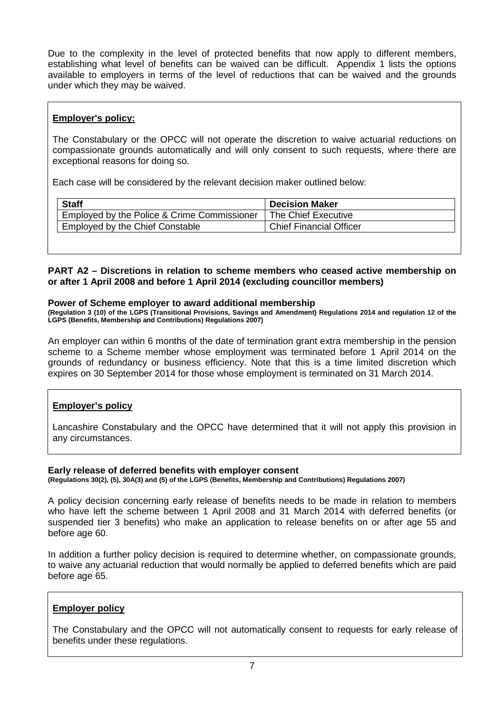Due to the complexity in the level of protected benefits that now apply to different members, establishing what level of benefits can be waived can be difficult. Appendix 1 lists the options available to employers in terms of the level of reductions that can be waived and the grounds under which they may be waived.

### **Employer's policy:**

The Constabulary or the OPCC will not operate the discretion to waive actuarial reductions on compassionate grounds automatically and will only consent to such requests, where there are exceptional reasons for doing so.

Each case will be considered by the relevant decision maker outlined below:

| <b>Staff</b>                                | <b>Decision Maker</b>          |
|---------------------------------------------|--------------------------------|
| Employed by the Police & Crime Commissioner | The Chief Executive            |
| Employed by the Chief Constable             | <b>Chief Financial Officer</b> |

**PART A2 – Discretions in relation to scheme members who ceased active membership on or after 1 April 2008 and before 1 April 2014 (excluding councillor members)** 

#### **Power of Scheme employer to award additional membership**

**(Regulation 3 (10) of the LGPS (Transitional Provisions, Savings and Amendment) Regulations 2014 and regulation 12 of the LGPS (Benefits, Membership and Contributions) Regulations 2007)** 

An employer can within 6 months of the date of termination grant extra membership in the pension scheme to a Scheme member whose employment was terminated before 1 April 2014 on the grounds of redundancy or business efficiency. Note that this is a time limited discretion which expires on 30 September 2014 for those whose employment is terminated on 31 March 2014.

# **Employer's policy**

Lancashire Constabulary and the OPCC have determined that it will not apply this provision in any circumstances.

#### **Early release of deferred benefits with employer consent**

**(Regulations 30(2), (5), 30A(3) and (5) of the LGPS (Benefits, Membership and Contributions) Regulations 2007)** 

A policy decision concerning early release of benefits needs to be made in relation to members who have left the scheme between 1 April 2008 and 31 March 2014 with deferred benefits (or suspended tier 3 benefits) who make an application to release benefits on or after age 55 and before age 60.

In addition a further policy decision is required to determine whether, on compassionate grounds, to waive any actuarial reduction that would normally be applied to deferred benefits which are paid before age 65.

#### **Employer policy**

The Constabulary and the OPCC will not automatically consent to requests for early release of benefits under these regulations.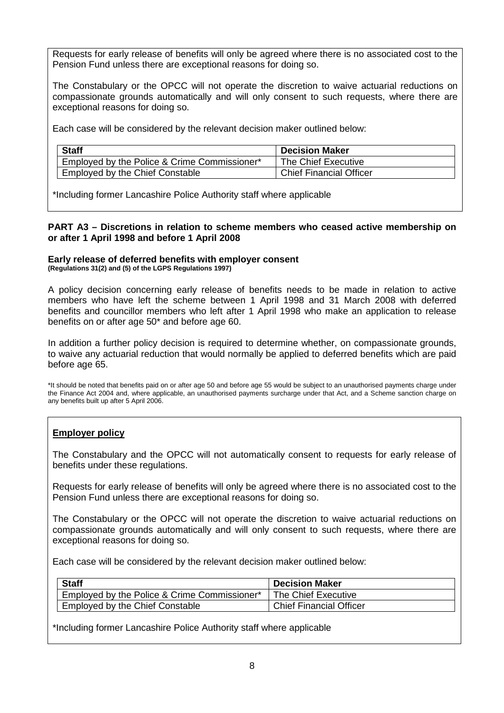Requests for early release of benefits will only be agreed where there is no associated cost to the Pension Fund unless there are exceptional reasons for doing so.

The Constabulary or the OPCC will not operate the discretion to waive actuarial reductions on compassionate grounds automatically and will only consent to such requests, where there are exceptional reasons for doing so.

Each case will be considered by the relevant decision maker outlined below:

| <b>Staff</b>                                 | <b>Decision Maker</b>          |
|----------------------------------------------|--------------------------------|
| Employed by the Police & Crime Commissioner* | The Chief Executive            |
| Employed by the Chief Constable              | <b>Chief Financial Officer</b> |

\*Including former Lancashire Police Authority staff where applicable

#### **PART A3 – Discretions in relation to scheme members who ceased active membership on or after 1 April 1998 and before 1 April 2008**

#### **Early release of deferred benefits with employer consent (Regulations 31(2) and (5) of the LGPS Regulations 1997)**

A policy decision concerning early release of benefits needs to be made in relation to active members who have left the scheme between 1 April 1998 and 31 March 2008 with deferred benefits and councillor members who left after 1 April 1998 who make an application to release benefits on or after age 50\* and before age 60.

In addition a further policy decision is required to determine whether, on compassionate grounds, to waive any actuarial reduction that would normally be applied to deferred benefits which are paid before age 65.

\*It should be noted that benefits paid on or after age 50 and before age 55 would be subject to an unauthorised payments charge under the Finance Act 2004 and, where applicable, an unauthorised payments surcharge under that Act, and a Scheme sanction charge on any benefits built up after 5 April 2006.

# **Employer policy**

The Constabulary and the OPCC will not automatically consent to requests for early release of benefits under these regulations.

Requests for early release of benefits will only be agreed where there is no associated cost to the Pension Fund unless there are exceptional reasons for doing so.

The Constabulary or the OPCC will not operate the discretion to waive actuarial reductions on compassionate grounds automatically and will only consent to such requests, where there are exceptional reasons for doing so.

Each case will be considered by the relevant decision maker outlined below:

| <b>Staff</b>                                 | <b>Decision Maker</b>          |
|----------------------------------------------|--------------------------------|
| Employed by the Police & Crime Commissioner* | The Chief Executive            |
| Employed by the Chief Constable              | <b>Chief Financial Officer</b> |

\*Including former Lancashire Police Authority staff where applicable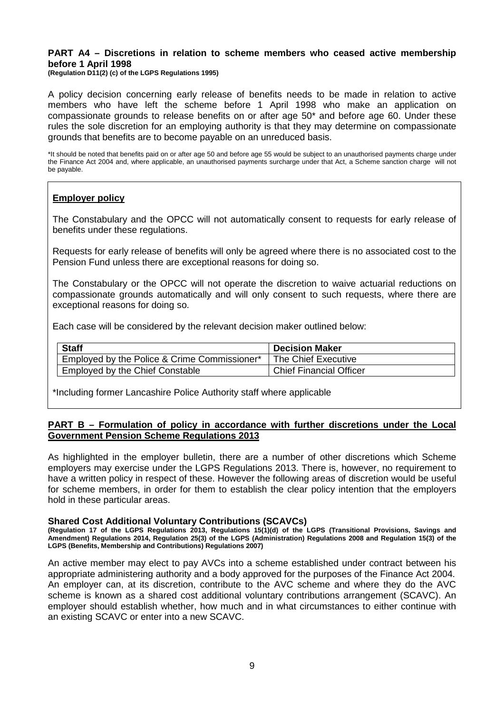#### **PART A4 – Discretions in relation to scheme members who ceased active membership before 1 April 1998**

**(Regulation D11(2) (c) of the LGPS Regulations 1995)** 

A policy decision concerning early release of benefits needs to be made in relation to active members who have left the scheme before 1 April 1998 who make an application on compassionate grounds to release benefits on or after age 50\* and before age 60. Under these rules the sole discretion for an employing authority is that they may determine on compassionate grounds that benefits are to become payable on an unreduced basis.

\*It should be noted that benefits paid on or after age 50 and before age 55 would be subject to an unauthorised payments charge under the Finance Act 2004 and, where applicable, an unauthorised payments surcharge under that Act, a Scheme sanction charge will not be payable.

#### **Employer policy**

The Constabulary and the OPCC will not automatically consent to requests for early release of benefits under these regulations.

Requests for early release of benefits will only be agreed where there is no associated cost to the Pension Fund unless there are exceptional reasons for doing so.

The Constabulary or the OPCC will not operate the discretion to waive actuarial reductions on compassionate grounds automatically and will only consent to such requests, where there are exceptional reasons for doing so.

Each case will be considered by the relevant decision maker outlined below:

| <b>Staff</b>                                 | <b>Decision Maker</b>          |
|----------------------------------------------|--------------------------------|
| Employed by the Police & Crime Commissioner* | The Chief Executive            |
| Employed by the Chief Constable              | <b>Chief Financial Officer</b> |

\*Including former Lancashire Police Authority staff where applicable

#### **PART B – Formulation of policy in accordance with further discretions under the Local Government Pension Scheme Regulations 2013**

As highlighted in the employer bulletin, there are a number of other discretions which Scheme employers may exercise under the LGPS Regulations 2013. There is, however, no requirement to have a written policy in respect of these. However the following areas of discretion would be useful for scheme members, in order for them to establish the clear policy intention that the employers hold in these particular areas.

#### **Shared Cost Additional Voluntary Contributions (SCAVCs)**

**(Regulation 17 of the LGPS Regulations 2013, Regulations 15(1)(d) of the LGPS (Transitional Provisions, Savings and Amendment) Regulations 2014, Regulation 25(3) of the LGPS (Administration) Regulations 2008 and Regulation 15(3) of the LGPS (Benefits, Membership and Contributions) Regulations 2007)** 

An active member may elect to pay AVCs into a scheme established under contract between his appropriate administering authority and a body approved for the purposes of the Finance Act 2004. An employer can, at its discretion, contribute to the AVC scheme and where they do the AVC scheme is known as a shared cost additional voluntary contributions arrangement (SCAVC). An employer should establish whether, how much and in what circumstances to either continue with an existing SCAVC or enter into a new SCAVC.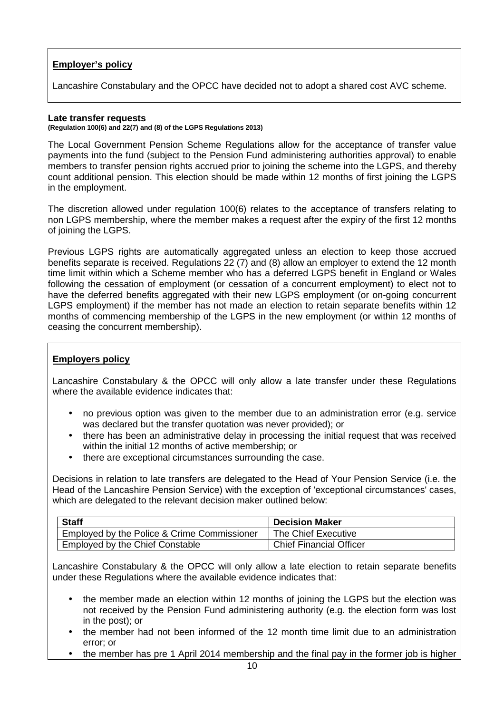# **Employer's policy**

Lancashire Constabulary and the OPCC have decided not to adopt a shared cost AVC scheme.

#### **Late transfer requests**

**(Regulation 100(6) and 22(7) and (8) of the LGPS Regulations 2013)** 

The Local Government Pension Scheme Regulations allow for the acceptance of transfer value payments into the fund (subject to the Pension Fund administering authorities approval) to enable members to transfer pension rights accrued prior to joining the scheme into the LGPS, and thereby count additional pension. This election should be made within 12 months of first joining the LGPS in the employment.

The discretion allowed under regulation 100(6) relates to the acceptance of transfers relating to non LGPS membership, where the member makes a request after the expiry of the first 12 months of joining the LGPS.

Previous LGPS rights are automatically aggregated unless an election to keep those accrued benefits separate is received. Regulations 22 (7) and (8) allow an employer to extend the 12 month time limit within which a Scheme member who has a deferred LGPS benefit in England or Wales following the cessation of employment (or cessation of a concurrent employment) to elect not to have the deferred benefits aggregated with their new LGPS employment (or on-going concurrent LGPS employment) if the member has not made an election to retain separate benefits within 12 months of commencing membership of the LGPS in the new employment (or within 12 months of ceasing the concurrent membership).

# **Employers policy**

Lancashire Constabulary & the OPCC will only allow a late transfer under these Regulations where the available evidence indicates that:

- no previous option was given to the member due to an administration error (e.g. service was declared but the transfer quotation was never provided); or
- there has been an administrative delay in processing the initial request that was received within the initial 12 months of active membership; or
- there are exceptional circumstances surrounding the case.

Decisions in relation to late transfers are delegated to the Head of Your Pension Service (i.e. the Head of the Lancashire Pension Service) with the exception of 'exceptional circumstances' cases, which are delegated to the relevant decision maker outlined below:

| <b>Staff</b>                                | <b>Decision Maker</b>          |
|---------------------------------------------|--------------------------------|
| Employed by the Police & Crime Commissioner | The Chief Executive            |
| Employed by the Chief Constable             | <b>Chief Financial Officer</b> |

Lancashire Constabulary & the OPCC will only allow a late election to retain separate benefits under these Regulations where the available evidence indicates that:

- the member made an election within 12 months of joining the LGPS but the election was not received by the Pension Fund administering authority (e.g. the election form was lost in the post); or
- the member had not been informed of the 12 month time limit due to an administration error; or
- the member has pre 1 April 2014 membership and the final pay in the former job is higher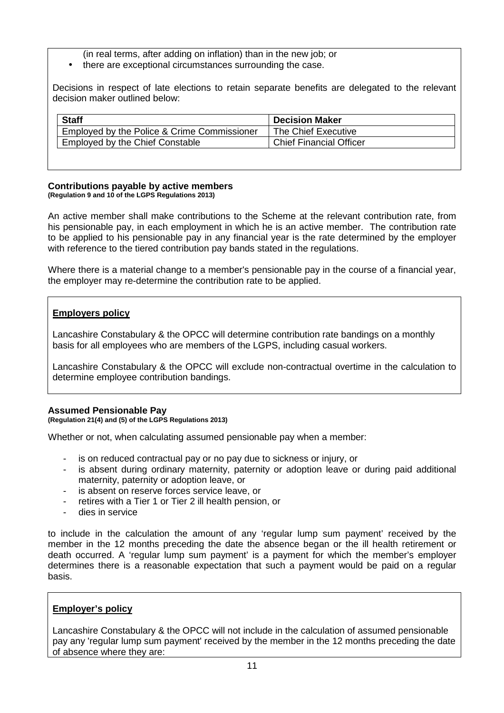(in real terms, after adding on inflation) than in the new job; or

• there are exceptional circumstances surrounding the case.

Decisions in respect of late elections to retain separate benefits are delegated to the relevant decision maker outlined below:

| <b>Decision Maker</b>          |
|--------------------------------|
| The Chief Executive            |
| <b>Chief Financial Officer</b> |
|                                |

#### **Contributions payable by active members (Regulation 9 and 10 of the LGPS Regulations 2013)**

An active member shall make contributions to the Scheme at the relevant contribution rate, from his pensionable pay, in each employment in which he is an active member. The contribution rate to be applied to his pensionable pay in any financial year is the rate determined by the employer with reference to the tiered contribution pay bands stated in the regulations.

Where there is a material change to a member's pensionable pay in the course of a financial year, the employer may re-determine the contribution rate to be applied.

# **Employers policy**

Lancashire Constabulary & the OPCC will determine contribution rate bandings on a monthly basis for all employees who are members of the LGPS, including casual workers.

Lancashire Constabulary & the OPCC will exclude non-contractual overtime in the calculation to determine employee contribution bandings.

# **Assumed Pensionable Pay**

**(Regulation 21(4) and (5) of the LGPS Regulations 2013)** 

Whether or not, when calculating assumed pensionable pay when a member:

- is on reduced contractual pay or no pay due to sickness or injury, or
- is absent during ordinary maternity, paternity or adoption leave or during paid additional maternity, paternity or adoption leave, or
- is absent on reserve forces service leave, or
- retires with a Tier 1 or Tier 2 ill health pension, or
- dies in service

to include in the calculation the amount of any 'regular lump sum payment' received by the member in the 12 months preceding the date the absence began or the ill health retirement or death occurred. A 'regular lump sum payment' is a payment for which the member's employer determines there is a reasonable expectation that such a payment would be paid on a regular basis.

# **Employer's policy**

Lancashire Constabulary & the OPCC will not include in the calculation of assumed pensionable pay any 'regular lump sum payment' received by the member in the 12 months preceding the date of absence where they are: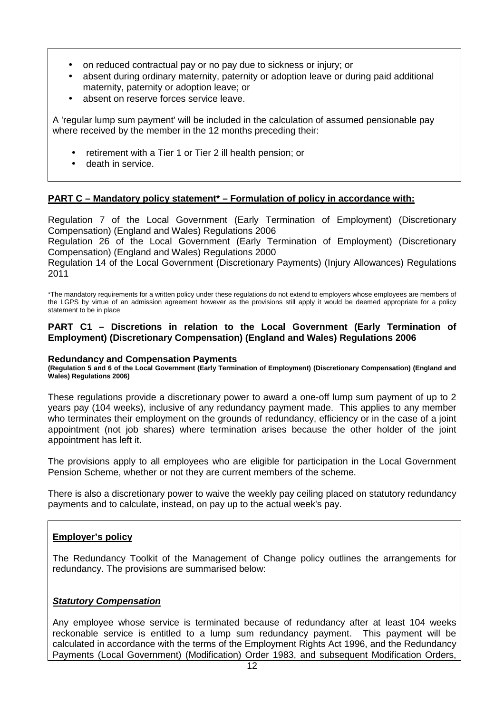- on reduced contractual pay or no pay due to sickness or injury; or
- absent during ordinary maternity, paternity or adoption leave or during paid additional maternity, paternity or adoption leave; or
- absent on reserve forces service leave.

A 'regular lump sum payment' will be included in the calculation of assumed pensionable pay where received by the member in the 12 months preceding their:

- retirement with a Tier 1 or Tier 2 ill health pension; or
- death in service.

### **PART C – Mandatory policy statement\* – Formulation of policy in accordance with:**

Regulation 7 of the Local Government (Early Termination of Employment) (Discretionary Compensation) (England and Wales) Regulations 2006

Regulation 26 of the Local Government (Early Termination of Employment) (Discretionary Compensation) (England and Wales) Regulations 2000

Regulation 14 of the Local Government (Discretionary Payments) (Injury Allowances) Regulations 2011

\*The mandatory requirements for a written policy under these regulations do not extend to employers whose employees are members of the LGPS by virtue of an admission agreement however as the provisions still apply it would be deemed appropriate for a policy statement to be in place

#### **PART C1 – Discretions in relation to the Local Government (Early Termination of Employment) (Discretionary Compensation) (England and Wales) Regulations 2006**

#### **Redundancy and Compensation Payments**

**(Regulation 5 and 6 of the Local Government (Early Termination of Employment) (Discretionary Compensation) (England and Wales) Regulations 2006)** 

These regulations provide a discretionary power to award a one-off lump sum payment of up to 2 years pay (104 weeks), inclusive of any redundancy payment made. This applies to any member who terminates their employment on the grounds of redundancy, efficiency or in the case of a joint appointment (not job shares) where termination arises because the other holder of the joint appointment has left it.

The provisions apply to all employees who are eligible for participation in the Local Government Pension Scheme, whether or not they are current members of the scheme.

There is also a discretionary power to waive the weekly pay ceiling placed on statutory redundancy payments and to calculate, instead, on pay up to the actual week's pay.

#### **Employer's policy**

The Redundancy Toolkit of the Management of Change policy outlines the arrangements for redundancy. The provisions are summarised below:

#### **Statutory Compensation**

Any employee whose service is terminated because of redundancy after at least 104 weeks reckonable service is entitled to a lump sum redundancy payment. This payment will be calculated in accordance with the terms of the Employment Rights Act 1996, and the Redundancy Payments (Local Government) (Modification) Order 1983, and subsequent Modification Orders,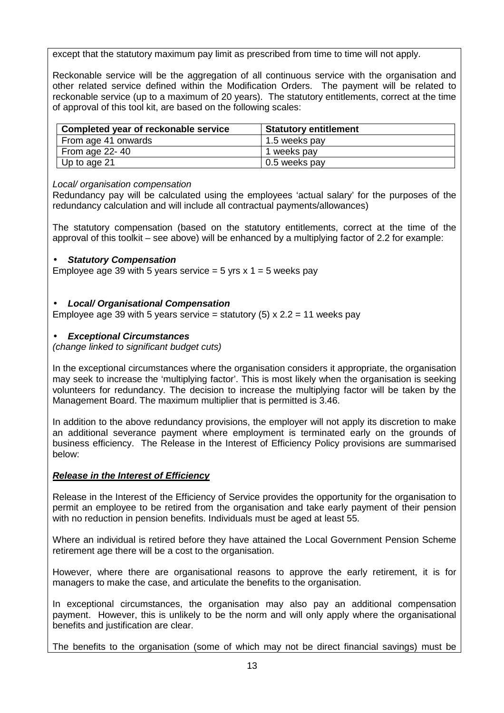except that the statutory maximum pay limit as prescribed from time to time will not apply.

Reckonable service will be the aggregation of all continuous service with the organisation and other related service defined within the Modification Orders. The payment will be related to reckonable service (up to a maximum of 20 years). The statutory entitlements, correct at the time of approval of this tool kit, are based on the following scales:

| Completed year of reckonable service | <b>Statutory entitlement</b> |
|--------------------------------------|------------------------------|
| From age 41 onwards                  | 1.5 weeks pay                |
| From age $22 - 40$                   | 1 weeks pay                  |
| Up to age 21                         | 0.5 weeks pay                |

### Local/ organisation compensation

Redundancy pay will be calculated using the employees 'actual salary' for the purposes of the redundancy calculation and will include all contractual payments/allowances)

The statutory compensation (based on the statutory entitlements, correct at the time of the approval of this toolkit – see above) will be enhanced by a multiplying factor of 2.2 for example:

### • **Statutory Compensation**

Employee age 39 with 5 years service = 5 yrs  $x$  1 = 5 weeks pay

### • **Local/ Organisational Compensation**

Employee age 39 with 5 years service = statutory (5)  $\times$  2.2 = 11 weeks pay

### • **Exceptional Circumstances**

(change linked to significant budget cuts)

In the exceptional circumstances where the organisation considers it appropriate, the organisation may seek to increase the 'multiplying factor'. This is most likely when the organisation is seeking volunteers for redundancy. The decision to increase the multiplying factor will be taken by the Management Board. The maximum multiplier that is permitted is 3.46.

In addition to the above redundancy provisions, the employer will not apply its discretion to make an additional severance payment where employment is terminated early on the grounds of business efficiency. The Release in the Interest of Efficiency Policy provisions are summarised below:

# **Release in the Interest of Efficiency**

Release in the Interest of the Efficiency of Service provides the opportunity for the organisation to permit an employee to be retired from the organisation and take early payment of their pension with no reduction in pension benefits. Individuals must be aged at least 55.

Where an individual is retired before they have attained the Local Government Pension Scheme retirement age there will be a cost to the organisation.

However, where there are organisational reasons to approve the early retirement, it is for managers to make the case, and articulate the benefits to the organisation.

In exceptional circumstances, the organisation may also pay an additional compensation payment. However, this is unlikely to be the norm and will only apply where the organisational benefits and justification are clear.

The benefits to the organisation (some of which may not be direct financial savings) must be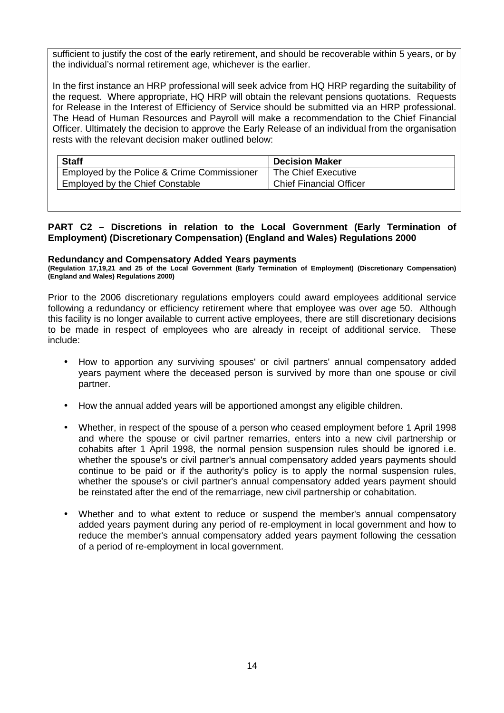sufficient to justify the cost of the early retirement, and should be recoverable within 5 years, or by the individual's normal retirement age, whichever is the earlier.

In the first instance an HRP professional will seek advice from HQ HRP regarding the suitability of the request. Where appropriate, HQ HRP will obtain the relevant pensions quotations. Requests for Release in the Interest of Efficiency of Service should be submitted via an HRP professional. The Head of Human Resources and Payroll will make a recommendation to the Chief Financial Officer. Ultimately the decision to approve the Early Release of an individual from the organisation rests with the relevant decision maker outlined below:

| The Chief Executive            |
|--------------------------------|
| <b>Chief Financial Officer</b> |
|                                |

#### **PART C2 – Discretions in relation to the Local Government (Early Termination of Employment) (Discretionary Compensation) (England and Wales) Regulations 2000**

#### **Redundancy and Compensatory Added Years payments**

**(Regulation 17,19,21 and 25 of the Local Government (Early Termination of Employment) (Discretionary Compensation) (England and Wales) Regulations 2000)** 

Prior to the 2006 discretionary regulations employers could award employees additional service following a redundancy or efficiency retirement where that employee was over age 50. Although this facility is no longer available to current active employees, there are still discretionary decisions to be made in respect of employees who are already in receipt of additional service. These include:

- How to apportion any surviving spouses' or civil partners' annual compensatory added years payment where the deceased person is survived by more than one spouse or civil partner.
- How the annual added years will be apportioned amongst any eligible children.
- Whether, in respect of the spouse of a person who ceased employment before 1 April 1998 and where the spouse or civil partner remarries, enters into a new civil partnership or cohabits after 1 April 1998, the normal pension suspension rules should be ignored i.e. whether the spouse's or civil partner's annual compensatory added years payments should continue to be paid or if the authority's policy is to apply the normal suspension rules, whether the spouse's or civil partner's annual compensatory added years payment should be reinstated after the end of the remarriage, new civil partnership or cohabitation.
- Whether and to what extent to reduce or suspend the member's annual compensatory added years payment during any period of re-employment in local government and how to reduce the member's annual compensatory added years payment following the cessation of a period of re-employment in local government.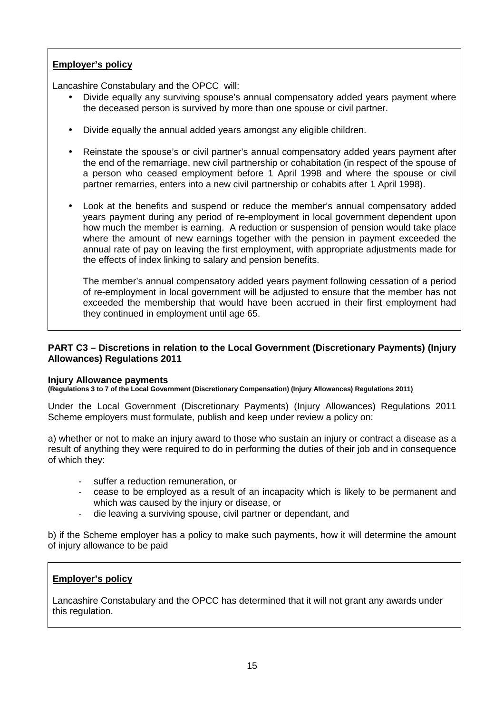# **Employer's policy**

Lancashire Constabulary and the OPCC will:

- Divide equally any surviving spouse's annual compensatory added years payment where the deceased person is survived by more than one spouse or civil partner.
- Divide equally the annual added years amongst any eligible children.
- Reinstate the spouse's or civil partner's annual compensatory added years payment after the end of the remarriage, new civil partnership or cohabitation (in respect of the spouse of a person who ceased employment before 1 April 1998 and where the spouse or civil partner remarries, enters into a new civil partnership or cohabits after 1 April 1998).
- Look at the benefits and suspend or reduce the member's annual compensatory added years payment during any period of re-employment in local government dependent upon how much the member is earning. A reduction or suspension of pension would take place where the amount of new earnings together with the pension in payment exceeded the annual rate of pay on leaving the first employment, with appropriate adjustments made for the effects of index linking to salary and pension benefits.

The member's annual compensatory added years payment following cessation of a period of re-employment in local government will be adjusted to ensure that the member has not exceeded the membership that would have been accrued in their first employment had they continued in employment until age 65.

### **PART C3 – Discretions in relation to the Local Government (Discretionary Payments) (Injury Allowances) Regulations 2011**

#### **Injury Allowance payments**

**(Regulations 3 to 7 of the Local Government (Discretionary Compensation) (Injury Allowances) Regulations 2011)** 

Under the Local Government (Discretionary Payments) (Injury Allowances) Regulations 2011 Scheme employers must formulate, publish and keep under review a policy on:

a) whether or not to make an injury award to those who sustain an injury or contract a disease as a result of anything they were required to do in performing the duties of their job and in consequence of which they:

- suffer a reduction remuneration, or
- cease to be employed as a result of an incapacity which is likely to be permanent and which was caused by the injury or disease, or
- die leaving a surviving spouse, civil partner or dependant, and

b) if the Scheme employer has a policy to make such payments, how it will determine the amount of injury allowance to be paid

#### **Employer's policy**

Lancashire Constabulary and the OPCC has determined that it will not grant any awards under this regulation.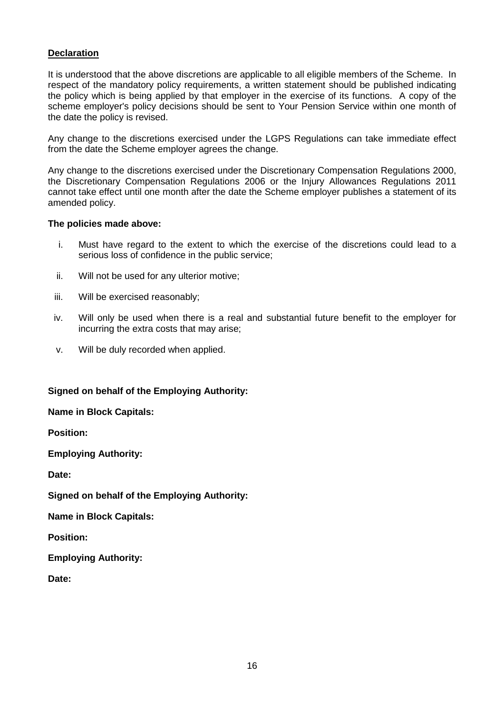### **Declaration**

It is understood that the above discretions are applicable to all eligible members of the Scheme. In respect of the mandatory policy requirements, a written statement should be published indicating the policy which is being applied by that employer in the exercise of its functions. A copy of the scheme employer's policy decisions should be sent to Your Pension Service within one month of the date the policy is revised.

Any change to the discretions exercised under the LGPS Regulations can take immediate effect from the date the Scheme employer agrees the change.

Any change to the discretions exercised under the Discretionary Compensation Regulations 2000, the Discretionary Compensation Regulations 2006 or the Injury Allowances Regulations 2011 cannot take effect until one month after the date the Scheme employer publishes a statement of its amended policy.

#### **The policies made above:**

- i. Must have regard to the extent to which the exercise of the discretions could lead to a serious loss of confidence in the public service;
- ii. Will not be used for any ulterior motive;
- iii. Will be exercised reasonably;
- iv. Will only be used when there is a real and substantial future benefit to the employer for incurring the extra costs that may arise;
- v. Will be duly recorded when applied.

#### **Signed on behalf of the Employing Authority:**

**Name in Block Capitals:** 

**Position:** 

**Employing Authority:** 

**Date:** 

**Signed on behalf of the Employing Authority:** 

**Name in Block Capitals:** 

**Position:** 

**Employing Authority:** 

**Date:**